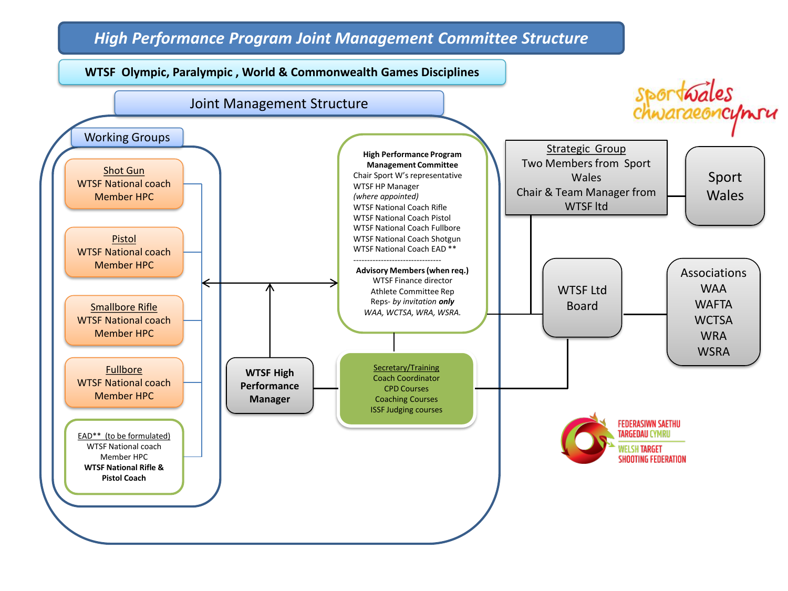